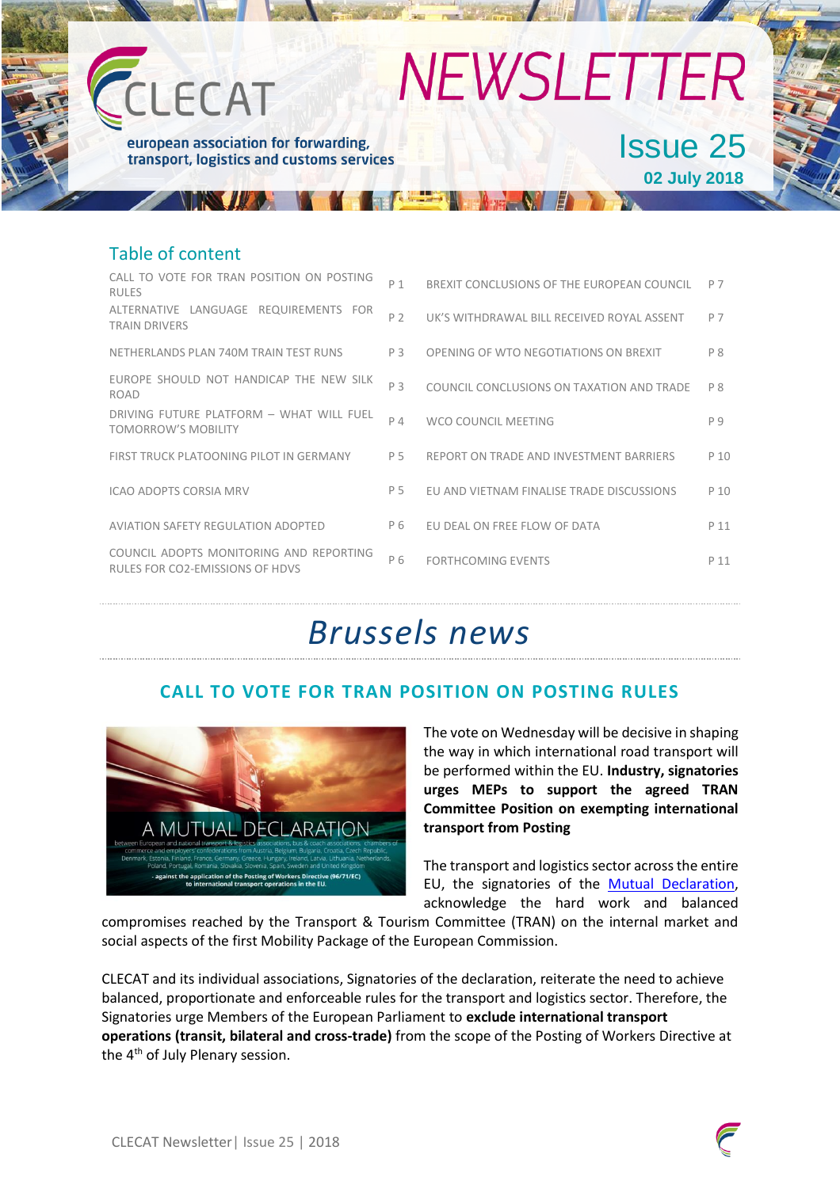

#### Table of content

| CALL TO VOTE FOR TRAN POSITION ON POSTING<br><b>RULES</b>                  | P 1 | BREXIT CONCLUSIONS OF THE EUROPEAN COUNCIL | P 7            |
|----------------------------------------------------------------------------|-----|--------------------------------------------|----------------|
| LANGUAGE REQUIREMENTS FOR<br>ALTERNATIVE<br><b>TRAIN DRIVERS</b>           | P 2 | UK'S WITHDRAWAL BILL RECEIVED ROYAL ASSENT | P 7            |
| NETHERLANDS PLAN 740M TRAIN TEST RUNS                                      | P3  | OPENING OF WTO NEGOTIATIONS ON BREXIT      | P <sub>8</sub> |
| EUROPE SHOULD NOT HANDICAP THE NEW SILK<br><b>ROAD</b>                     | P 3 | COUNCIL CONCLUSIONS ON TAXATION AND TRADE  | P 8            |
| DRIVING FUTURE PLATFORM - WHAT WILL FUEL<br><b>TOMORROW'S MOBILITY</b>     | P 4 | WCO COUNCIL MEETING                        | P 9            |
| FIRST TRUCK PLATOONING PILOT IN GERMANY                                    | P 5 | REPORT ON TRADE AND INVESTMENT BARRIERS    | P 10           |
| ICAO ADOPTS CORSIA MRV                                                     | P 5 | EU AND VIETNAM FINALISE TRADE DISCUSSIONS  | P 10           |
| AVIATION SAFETY REGULATION ADOPTED                                         | P 6 | EU DEAL ON FREE FLOW OF DATA               | P 11           |
| COUNCIL ADOPTS MONITORING AND REPORTING<br>RULES FOR CO2-EMISSIONS OF HDVS | P 6 | <b>FORTHCOMING EVENTS</b>                  | P 11           |

### *Brussels news*

#### **CALL TO VOTE FOR TRAN POSITION ON POSTING RULES**



The vote on Wednesday will be decisive in shaping the way in which international road transport will be performed within the EU. **Industry, signatories urges MEPs to support the agreed TRAN Committee Position on exempting international transport from Posting**

The transport and logistics sector across the entire EU, the signatories of the [Mutual Declaration,](http://www.clecat.org/media/Mutual%20Declaration%20on%20Posting%20of%20Drivers.pdf) acknowledge the hard work and balanced

compromises reached by the Transport & Tourism Committee (TRAN) on the internal market and social aspects of the first Mobility Package of the European Commission.

CLECAT and its individual associations, Signatories of the declaration, reiterate the need to achieve balanced, proportionate and enforceable rules for the transport and logistics sector. Therefore, the Signatories urge Members of the European Parliament to **exclude international transport operations (transit, bilateral and cross-trade)** from the scope of the Posting of Workers Directive at the 4<sup>th</sup> of July Plenary session.

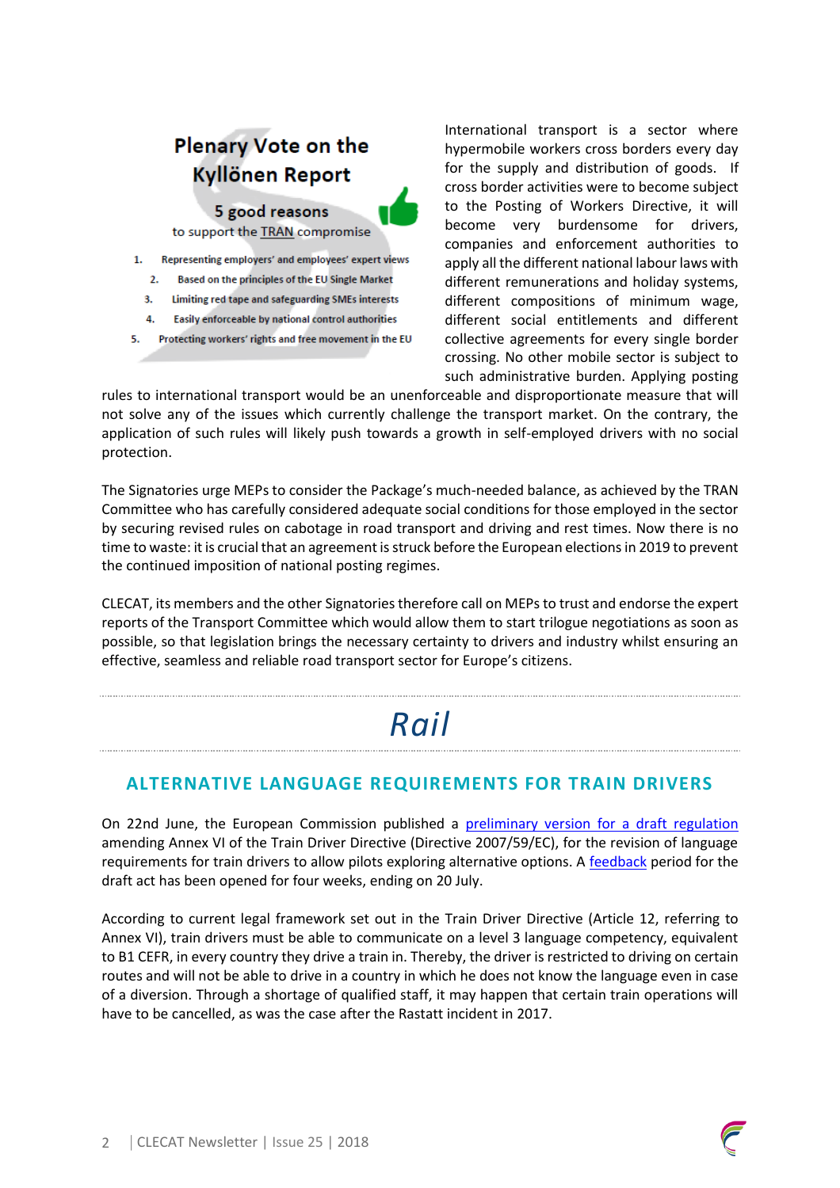### **Plenary Vote on the Kyllönen Report**

5 good reasons

to support the TRAN compromise

- 1. Representing employers' and employees' expert views
	- 2. Based on the principles of the EU Single Market
	- 3. Limiting red tape and safeguarding SMEs interests
- Easily enforceable by national control authorities 4.
- Protecting workers' rights and free movement in the EU 5.

International transport is a sector where hypermobile workers cross borders every day for the supply and distribution of goods. If cross border activities were to become subject to the Posting of Workers Directive, it will become very burdensome for drivers, companies and enforcement authorities to apply all the different national labour laws with different remunerations and holiday systems, different compositions of minimum wage, different social entitlements and different collective agreements for every single border crossing. No other mobile sector is subject to such administrative burden. Applying posting

rules to international transport would be an unenforceable and disproportionate measure that will not solve any of the issues which currently challenge the transport market. On the contrary, the application of such rules will likely push towards a growth in self-employed drivers with no social protection.

The Signatories urge MEPs to consider the Package's much-needed balance, as achieved by the TRAN Committee who has carefully considered adequate social conditions for those employed in the sector by securing revised rules on cabotage in road transport and driving and rest times. Now there is no time to waste: it is crucial that an agreement is struck before the European elections in 2019 to prevent the continued imposition of national posting regimes.

CLECAT, its members and the other Signatories therefore call on MEPs to trust and endorse the expert reports of the Transport Committee which would allow them to start trilogue negotiations as soon as possible, so that legislation brings the necessary certainty to drivers and industry whilst ensuring an effective, seamless and reliable road transport sector for Europe's citizens.

# *Rail*

### **ALTERNATIVE LANGUAGE REQUIREMENTS FOR TRAIN DRIVERS**

On 22nd June, the European Commission published a [preliminary version for a draft regulation](https://ec.europa.eu/info/law/better-regulation/initiatives/ares-2018-3324843_en) amending Annex VI of the Train Driver Directive (Directive 2007/59/EC), for the revision of language requirements for train drivers to allow pilots exploring alternative options. A [feedback](https://ec.europa.eu/info/law/better-regulation/initiatives/ares-2018-3324843/feedback/add_en) period for the draft act has been opened for four weeks, ending on 20 July.

According to current legal framework set out in the Train Driver Directive (Article 12, referring to Annex VI), train drivers must be able to communicate on a level 3 language competency, equivalent to B1 CEFR, in every country they drive a train in. Thereby, the driver is restricted to driving on certain routes and will not be able to drive in a country in which he does not know the language even in case of a diversion. Through a shortage of qualified staff, it may happen that certain train operations will have to be cancelled, as was the case after the Rastatt incident in 2017.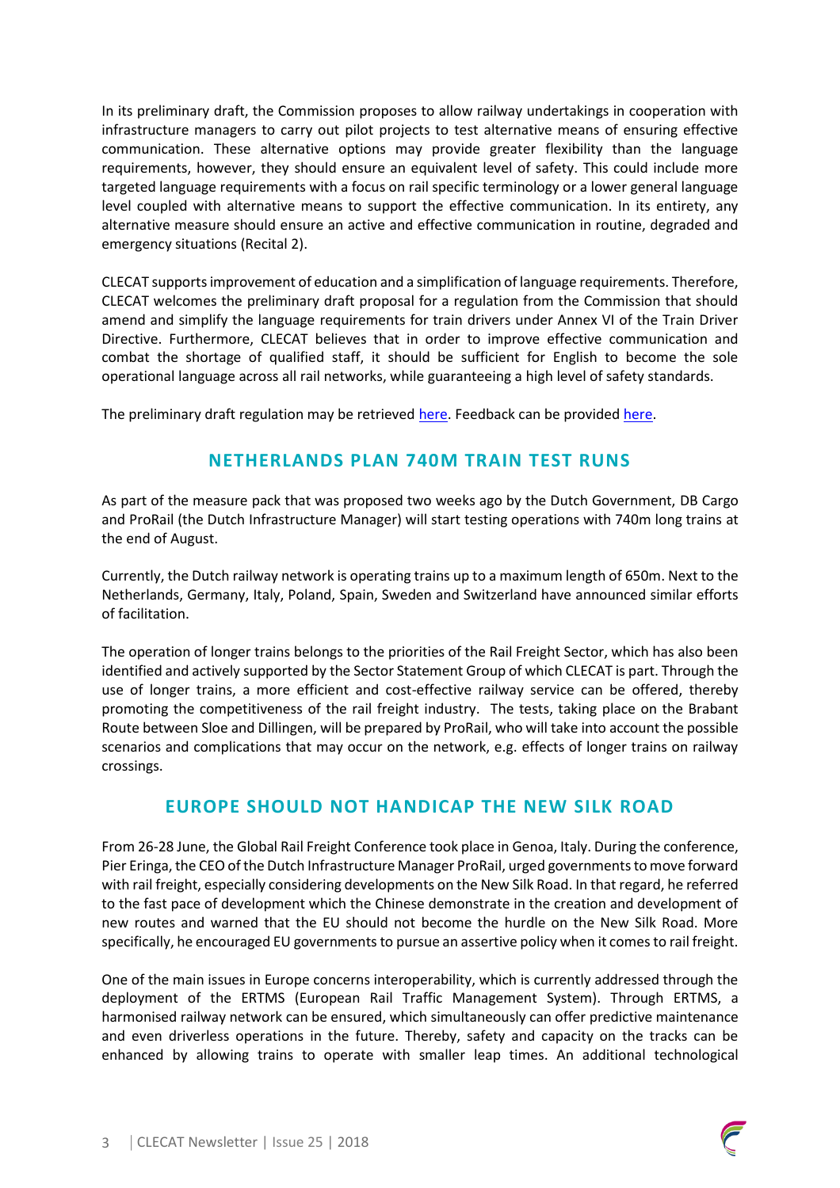In its preliminary draft, the Commission proposes to allow railway undertakings in cooperation with infrastructure managers to carry out pilot projects to test alternative means of ensuring effective communication. These alternative options may provide greater flexibility than the language requirements, however, they should ensure an equivalent level of safety. This could include more targeted language requirements with a focus on rail specific terminology or a lower general language level coupled with alternative means to support the effective communication. In its entirety, any alternative measure should ensure an active and effective communication in routine, degraded and emergency situations (Recital 2).

CLECAT supportsimprovement of education and a simplification of language requirements. Therefore, CLECAT welcomes the preliminary draft proposal for a regulation from the Commission that should amend and simplify the language requirements for train drivers under Annex VI of the Train Driver Directive. Furthermore, CLECAT believes that in order to improve effective communication and combat the shortage of qualified staff, it should be sufficient for English to become the sole operational language across all rail networks, while guaranteeing a high level of safety standards.

The preliminary draft regulation may be retrieve[d here.](https://ec.europa.eu/info/law/better-regulation/initiatives/ares-2018-3324843_en) Feedback can be provide[d here.](https://ec.europa.eu/info/law/better-regulation/initiatives/ares-2018-3324843/feedback/add_en)

#### **NETHERLANDS PLAN 740M TRAIN TEST RUNS**

As part of the measure pack that was proposed two weeks ago by the Dutch Government, DB Cargo and ProRail (the Dutch Infrastructure Manager) will start testing operations with 740m long trains at the end of August.

Currently, the Dutch railway network is operating trains up to a maximum length of 650m. Next to the Netherlands, Germany, Italy, Poland, Spain, Sweden and Switzerland have announced similar efforts of facilitation.

The operation of longer trains belongs to the priorities of the Rail Freight Sector, which has also been identified and actively supported by the Sector Statement Group of which CLECAT is part. Through the use of longer trains, a more efficient and cost-effective railway service can be offered, thereby promoting the competitiveness of the rail freight industry. The tests, taking place on the Brabant Route between Sloe and Dillingen, will be prepared by ProRail, who will take into account the possible scenarios and complications that may occur on the network, e.g. effects of longer trains on railway crossings.

#### **EUROPE SHOULD NOT HANDICAP THE NEW SILK ROAD**

From 26-28 June, the Global Rail Freight Conference took place in Genoa, Italy. During the conference, Pier Eringa, the CEO of the Dutch Infrastructure Manager ProRail, urged governments to move forward with rail freight, especially considering developments on the New Silk Road. In that regard, he referred to the fast pace of development which the Chinese demonstrate in the creation and development of new routes and warned that the EU should not become the hurdle on the New Silk Road. More specifically, he encouraged EU governments to pursue an assertive policy when it comes to rail freight.

One of the main issues in Europe concerns interoperability, which is currently addressed through the deployment of the ERTMS (European Rail Traffic Management System). Through ERTMS, a harmonised railway network can be ensured, which simultaneously can offer predictive maintenance and even driverless operations in the future. Thereby, safety and capacity on the tracks can be enhanced by allowing trains to operate with smaller leap times. An additional technological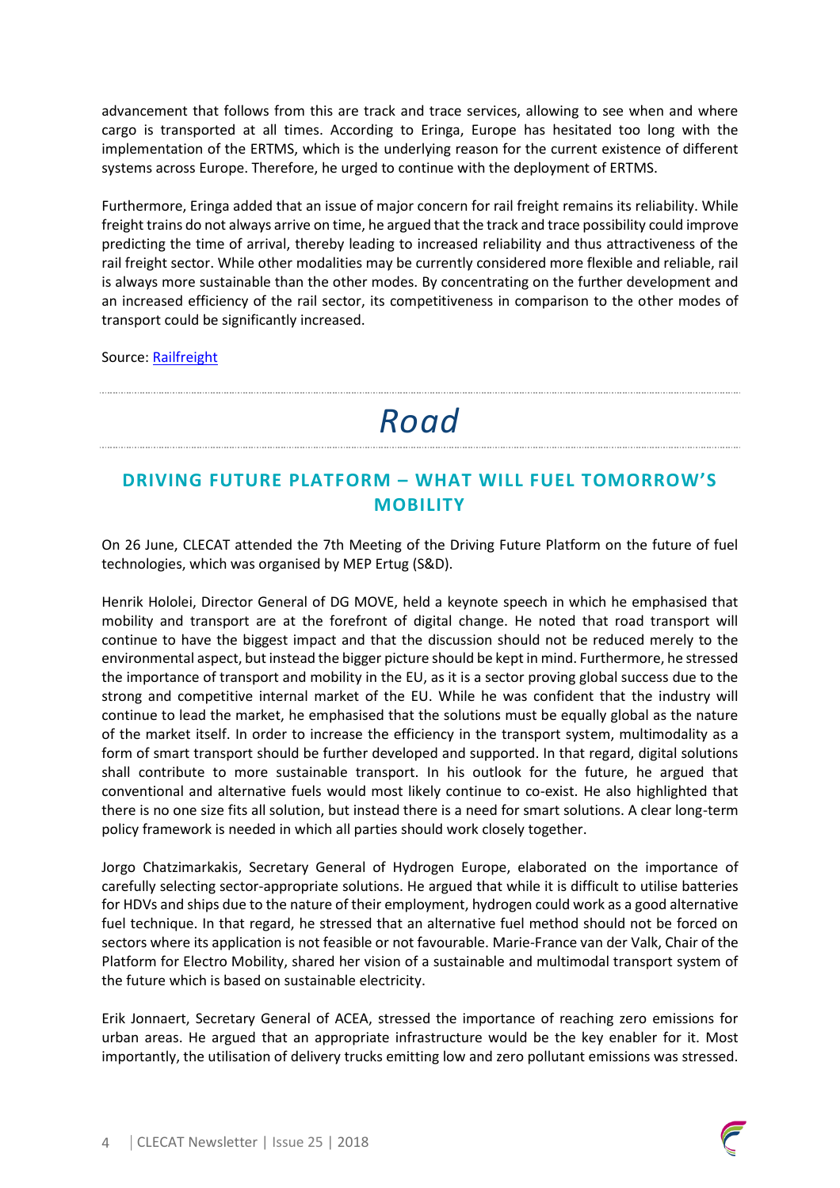advancement that follows from this are track and trace services, allowing to see when and where cargo is transported at all times. According to Eringa, Europe has hesitated too long with the implementation of the ERTMS, which is the underlying reason for the current existence of different systems across Europe. Therefore, he urged to continue with the deployment of ERTMS.

Furthermore, Eringa added that an issue of major concern for rail freight remains its reliability. While freight trains do not always arrive on time, he argued that the track and trace possibility could improve predicting the time of arrival, thereby leading to increased reliability and thus attractiveness of the rail freight sector. While other modalities may be currently considered more flexible and reliable, rail is always more sustainable than the other modes. By concentrating on the further development and an increased efficiency of the rail sector, its competitiveness in comparison to the other modes of transport could be significantly increased.

Source: [Railfreight](https://www.railfreight.com/interoperability/2018/06/26/europe-should-not-be-the-hurdle-on-the-new-silk-road/?utm_source=newsletter&utm_medium=email&utm_campaign=Newsletter%20week%202018-26)

## *Road*

### **DRIVING FUTURE PLATFORM – WHAT WILL FUEL TOMORROW'S MOBILITY**

On 26 June, CLECAT attended the 7th Meeting of the Driving Future Platform on the future of fuel technologies, which was organised by MEP Ertug (S&D).

Henrik Hololei, Director General of DG MOVE, held a keynote speech in which he emphasised that mobility and transport are at the forefront of digital change. He noted that road transport will continue to have the biggest impact and that the discussion should not be reduced merely to the environmental aspect, but instead the bigger picture should be kept in mind. Furthermore, he stressed the importance of transport and mobility in the EU, as it is a sector proving global success due to the strong and competitive internal market of the EU. While he was confident that the industry will continue to lead the market, he emphasised that the solutions must be equally global as the nature of the market itself. In order to increase the efficiency in the transport system, multimodality as a form of smart transport should be further developed and supported. In that regard, digital solutions shall contribute to more sustainable transport. In his outlook for the future, he argued that conventional and alternative fuels would most likely continue to co-exist. He also highlighted that there is no one size fits all solution, but instead there is a need for smart solutions. A clear long-term policy framework is needed in which all parties should work closely together.

Jorgo Chatzimarkakis, Secretary General of Hydrogen Europe, elaborated on the importance of carefully selecting sector-appropriate solutions. He argued that while it is difficult to utilise batteries for HDVs and ships due to the nature of their employment, hydrogen could work as a good alternative fuel technique. In that regard, he stressed that an alternative fuel method should not be forced on sectors where its application is not feasible or not favourable. Marie-France van der Valk, Chair of the Platform for Electro Mobility, shared her vision of a sustainable and multimodal transport system of the future which is based on sustainable electricity.

Erik Jonnaert, Secretary General of ACEA, stressed the importance of reaching zero emissions for urban areas. He argued that an appropriate infrastructure would be the key enabler for it. Most importantly, the utilisation of delivery trucks emitting low and zero pollutant emissions was stressed.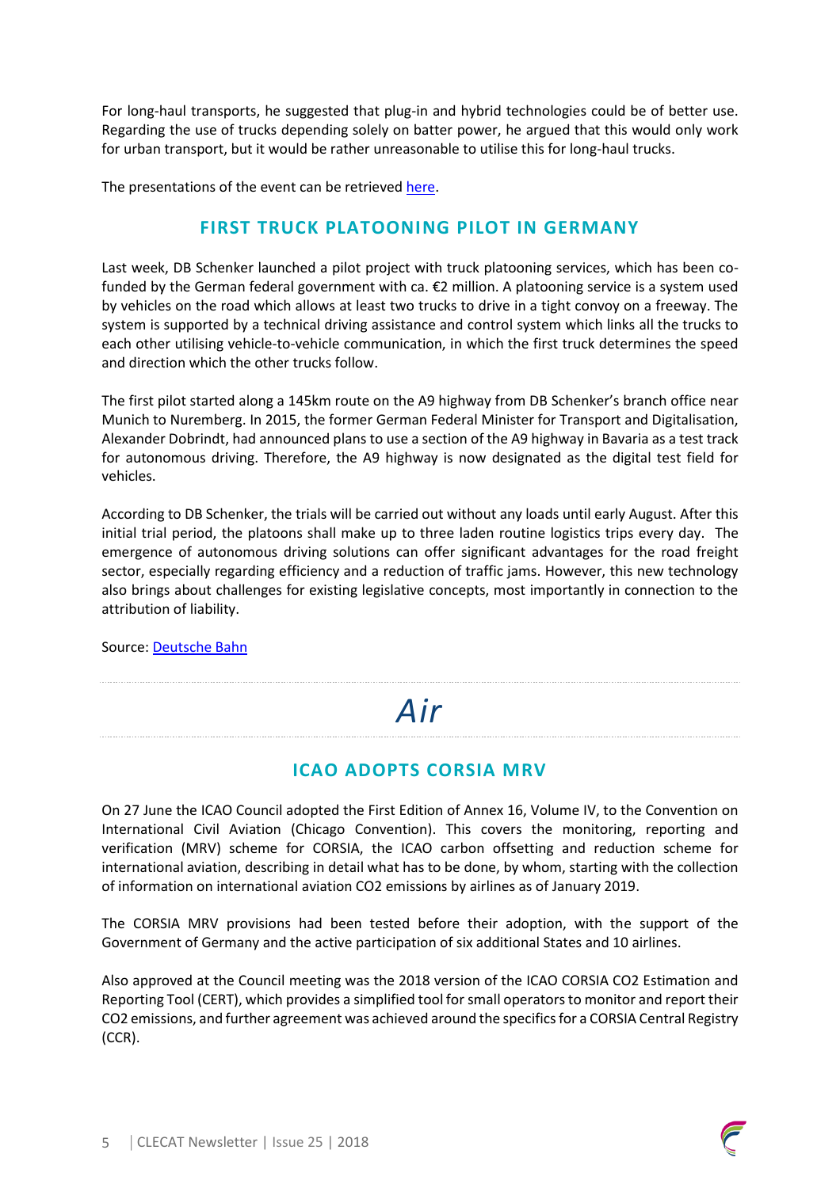For long-haul transports, he suggested that plug-in and hybrid technologies could be of better use. Regarding the use of trucks depending solely on batter power, he argued that this would only work for urban transport, but it would be rather unreasonable to utilise this for long-haul trucks.

The presentations of the event can be retrieve[d here.](http://www.ertug.eu/index.php?id=70&mc_cid=fc26fed28d&mc_eid=ed3f38bfa0)

#### **FIRST TRUCK PLATOONING PILOT IN GERMANY**

Last week, DB Schenker launched a pilot project with truck platooning services, which has been cofunded by the German federal government with ca. €2 million. A platooning service is a system used by vehicles on the road which allows at least two trucks to drive in a tight convoy on a freeway. The system is supported by a technical driving assistance and control system which links all the trucks to each other utilising vehicle-to-vehicle communication, in which the first truck determines the speed and direction which the other trucks follow.

The first pilot started along a 145km route on the A9 highway from DB Schenker's branch office near Munich to Nuremberg. In 2015, the former German Federal Minister for Transport and Digitalisation, Alexander Dobrindt, had announced plans to use a section of the A9 highway in Bavaria as a test track for autonomous driving. Therefore, the A9 highway is now designated as the digital test field for vehicles.

According to DB Schenker, the trials will be carried out without any loads until early August. After this initial trial period, the platoons shall make up to three laden routine logistics trips every day. The emergence of autonomous driving solutions can offer significant advantages for the road freight sector, especially regarding efficiency and a reduction of traffic jams. However, this new technology also brings about challenges for existing legislative concepts, most importantly in connection to the attribution of liability.

Source: [Deutsche Bahn](https://www.deutschebahn.com/en/Digitalization/auto_driving/Platooning_en-1215190)

## *Air*

### **ICAO ADOPTS CORSIA MRV**

On 27 June the ICAO Council adopted the First Edition of Annex 16, Volume IV, to the Convention on International Civil Aviation (Chicago Convention). This covers the monitoring, reporting and verification (MRV) scheme for CORSIA, the ICAO carbon offsetting and reduction scheme for international aviation, describing in detail what has to be done, by whom, starting with the collection of information on international aviation CO2 emissions by airlines as of January 2019.

The CORSIA MRV provisions had been tested before their adoption, with the support of the Government of Germany and the active participation of six additional States and 10 airlines.

Also approved at the Council meeting was the 2018 version of the ICAO CORSIA CO2 Estimation and Reporting Tool (CERT), which provides a simplified tool for small operators to monitor and report their CO2 emissions, and further agreement was achieved around the specifics for a CORSIA Central Registry (CCR).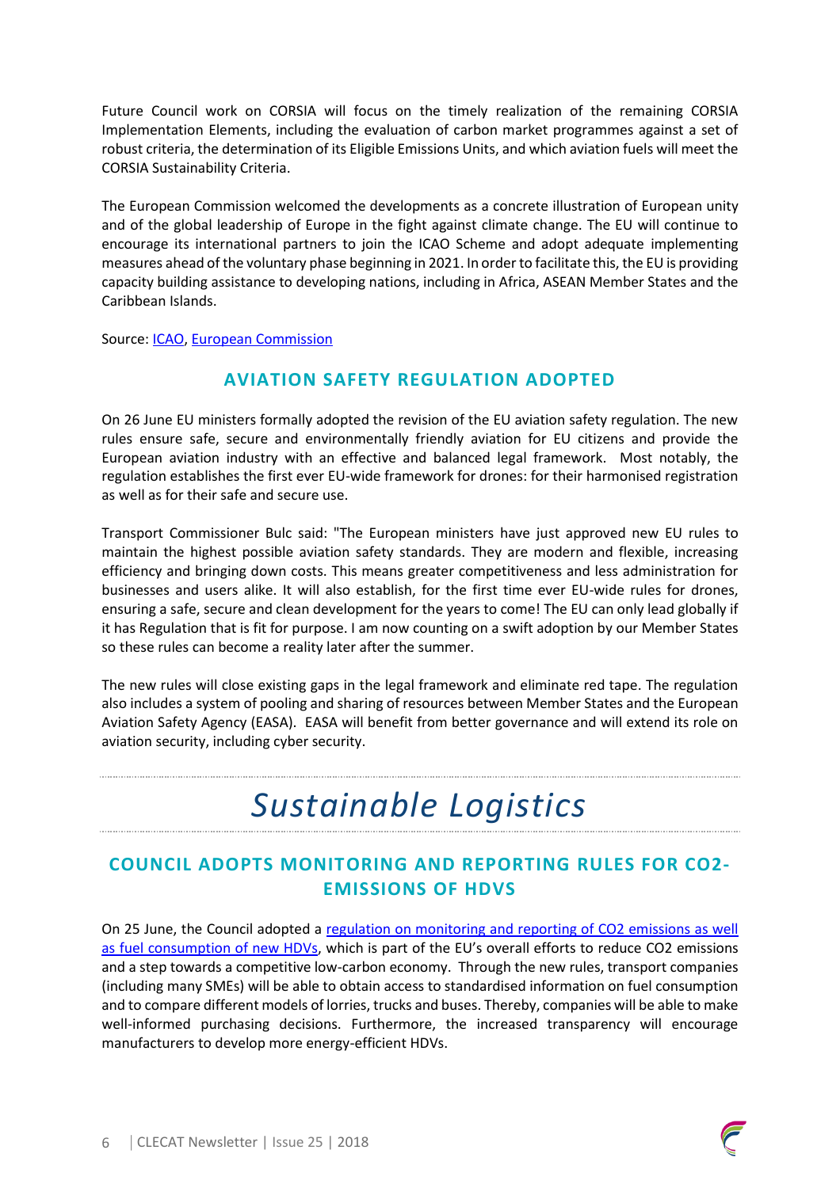Future Council work on CORSIA will focus on the timely realization of the remaining CORSIA Implementation Elements, including the evaluation of carbon market programmes against a set of robust criteria, the determination of its Eligible Emissions Units, and which aviation fuels will meet the CORSIA Sustainability Criteria.

The European Commission welcomed the developments as a concrete illustration of European unity and of the global leadership of Europe in the fight against climate change. The EU will continue to encourage its international partners to join the ICAO Scheme and adopt adequate implementing measures ahead of the voluntary phase beginning in 2021. In order to facilitate this, the EU is providing capacity building assistance to developing nations, including in Africa, ASEAN Member States and the Caribbean Islands.

Source: [ICAO,](https://www.icao.int/Newsroom/Pages/ICAO-Council-reaches-landmark-decision-on-aviation-emissions-offsetting.aspx) [European Commission](http://europa.eu/rapid/press-release_STATEMENT-18-4301_en.htm)

#### **AVIATION SAFETY REGULATION ADOPTED**

On 26 June EU ministers formally adopted the revision of the EU aviation safety regulation. The new rules ensure safe, secure and environmentally friendly aviation for EU citizens and provide the European aviation industry with an effective and balanced legal framework. Most notably, the regulation establishes the first ever EU-wide framework for drones: for their harmonised registration as well as for their safe and secure use.

Transport Commissioner Bulc said: "The European ministers have just approved new EU rules to maintain the highest possible aviation safety standards. They are modern and flexible, increasing efficiency and bringing down costs. This means greater competitiveness and less administration for businesses and users alike. It will also establish, for the first time ever EU-wide rules for drones, ensuring a safe, secure and clean development for the years to come! The EU can only lead globally if it has Regulation that is fit for purpose. I am now counting on a swift adoption by our Member States so these rules can become a reality later after the summer.

The new rules will close existing gaps in the legal framework and eliminate red tape. The regulation also includes a system of pooling and sharing of resources between Member States and the European Aviation Safety Agency (EASA). EASA will benefit from better governance and will extend its role on aviation security, including cyber security.

## *Sustainable Logistics*

### **COUNCIL ADOPTS MONITORING AND REPORTING RULES FOR CO2- EMISSIONS OF HDVS**

On 25 June, the Council adopted a [regulation on monitoring and reporting of CO2 emissions as well](http://data.consilium.europa.eu/doc/document/PE-20-2018-INIT/en/pdf)  [as fuel consumption of new HDVs](http://data.consilium.europa.eu/doc/document/PE-20-2018-INIT/en/pdf), which is part of the EU's overall efforts to reduce CO2 emissions and a step towards a competitive low-carbon economy. Through the new rules, transport companies (including many SMEs) will be able to obtain access to standardised information on fuel consumption and to compare different models of lorries, trucks and buses. Thereby, companies will be able to make well-informed purchasing decisions. Furthermore, the increased transparency will encourage manufacturers to develop more energy-efficient HDVs.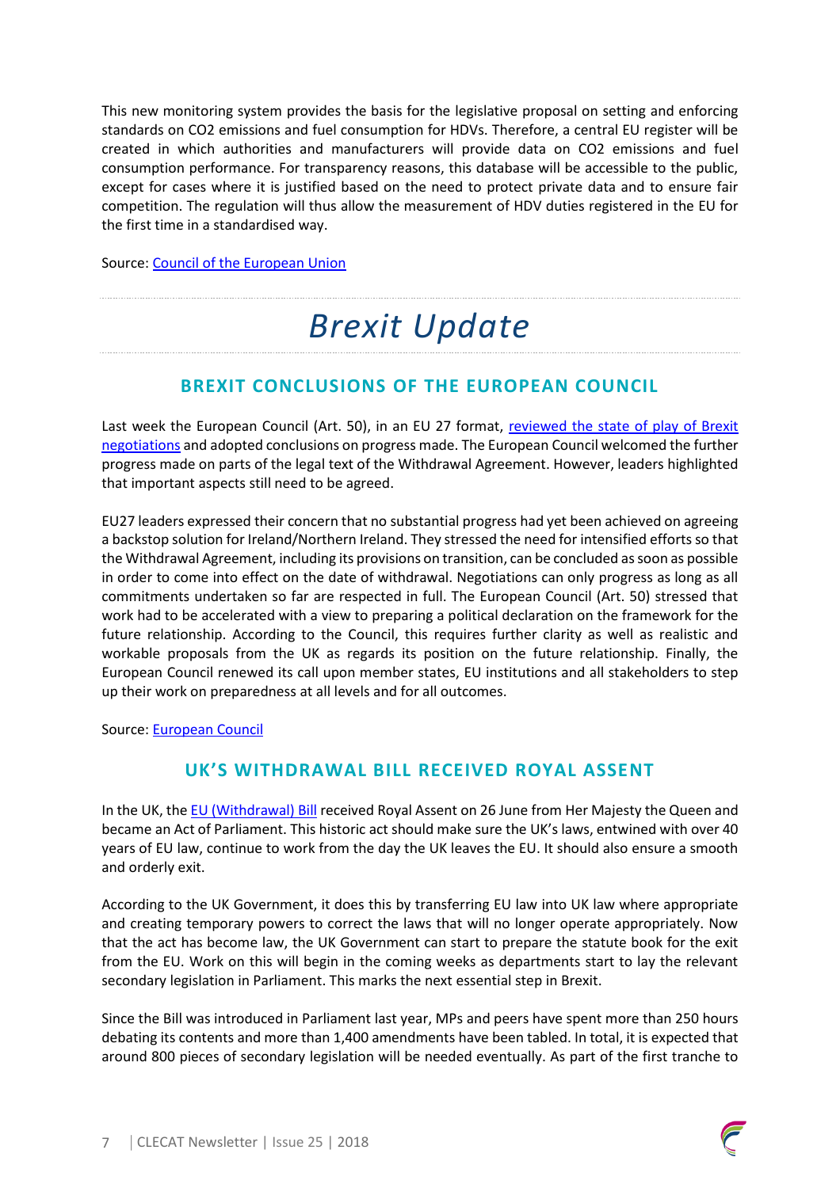This new monitoring system provides the basis for the legislative proposal on setting and enforcing standards on CO2 emissions and fuel consumption for HDVs. Therefore, a central EU register will be created in which authorities and manufacturers will provide data on CO2 emissions and fuel consumption performance. For transparency reasons, this database will be accessible to the public, except for cases where it is justified based on the need to protect private data and to ensure fair competition. The regulation will thus allow the measurement of HDV duties registered in the EU for the first time in a standardised way.

Source: [Council of the European Union](http://www.consilium.europa.eu/en/press/press-releases/2018/06/25/co2-emissions-of-heavy-duty-vehicles-council-adopts-monitoring-and-reporting-rules/)

## *Brexit Update*

#### **BREXIT CONCLUSIONS OF THE EUROPEAN COUNCIL**

Last week the European Council (Art. 50), in an EU 27 format, [reviewed the state of play of Brexit](http://www.consilium.europa.eu/en/press/press-releases/2018/06/29/20180629-euco-conclusions-art-50/)  [negotiations](http://www.consilium.europa.eu/en/press/press-releases/2018/06/29/20180629-euco-conclusions-art-50/) and adopted conclusions on progress made. The European Council welcomed the further progress made on parts of the legal text of the Withdrawal Agreement. However, leaders highlighted that important aspects still need to be agreed.

EU27 leaders expressed their concern that no substantial progress had yet been achieved on agreeing a backstop solution for Ireland/Northern Ireland. They stressed the need for intensified efforts so that the Withdrawal Agreement, including its provisions on transition, can be concluded as soon as possible in order to come into effect on the date of withdrawal. Negotiations can only progress as long as all commitments undertaken so far are respected in full. The European Council (Art. 50) stressed that work had to be accelerated with a view to preparing a political declaration on the framework for the future relationship. According to the Council, this requires further clarity as well as realistic and workable proposals from the UK as regards its position on the future relationship. Finally, the European Council renewed its call upon member states, EU institutions and all stakeholders to step up their work on preparedness at all levels and for all outcomes.

Source: [European Council](http://www.consilium.europa.eu/en/policies/eu-uk-after-referendum/)

#### **UK'S WITHDRAWAL BILL RECEIVED ROYAL ASSENT**

In the UK, the [EU \(Withdrawal\) Bill](https://www.gov.uk/government/publications/information-about-the-withdrawal-bill) received Royal Assent on 26 June from Her Majesty the Queen and became an Act of Parliament. This historic act should make sure the UK's laws, entwined with over 40 years of EU law, continue to work from the day the UK leaves the EU. It should also ensure a smooth and orderly exit.

According to the UK Government, it does this by transferring EU law into UK law where appropriate and creating temporary powers to correct the laws that will no longer operate appropriately. Now that the act has become law, the UK Government can start to prepare the statute book for the exit from the EU. Work on this will begin in the coming weeks as departments start to lay the relevant secondary legislation in Parliament. This marks the next essential step in Brexit.

Since the Bill was introduced in Parliament last year, MPs and peers have spent more than 250 hours debating its contents and more than 1,400 amendments have been tabled. In total, it is expected that around 800 pieces of secondary legislation will be needed eventually. As part of the first tranche to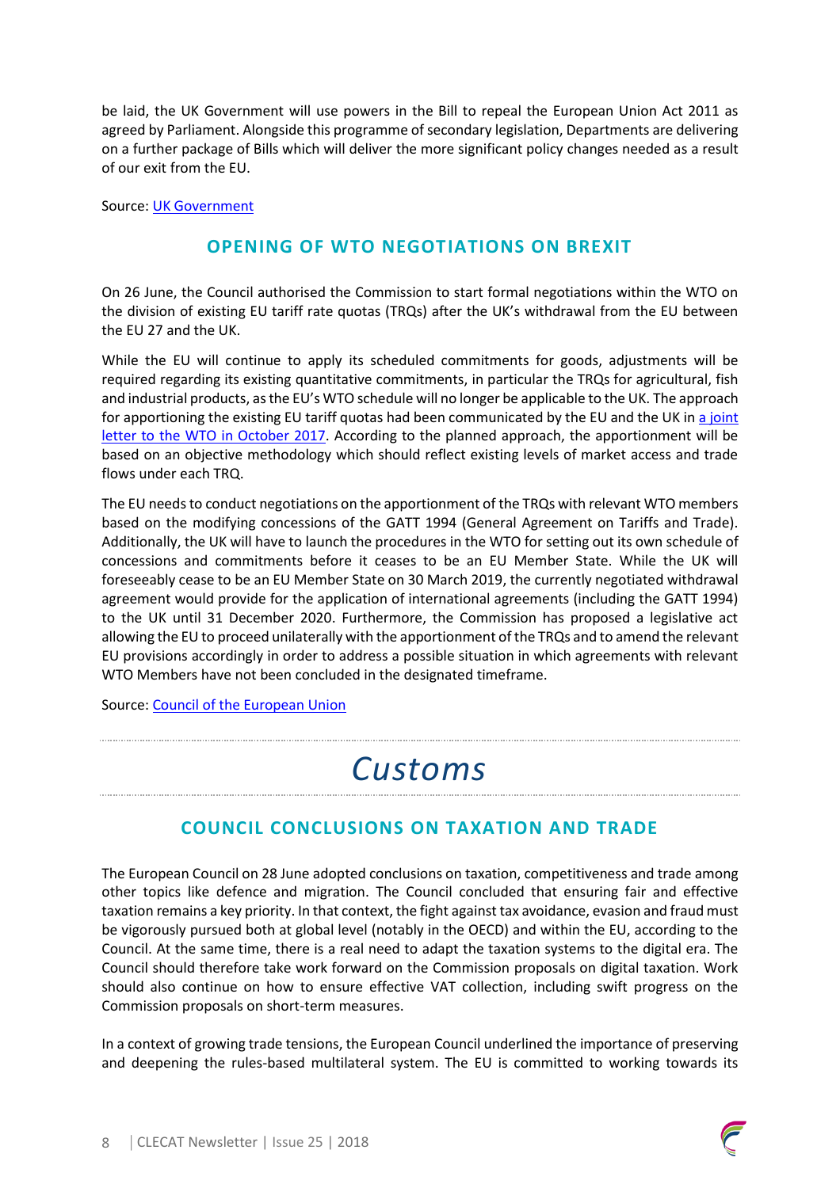be laid, the UK Government will use powers in the Bill to repeal the European Union Act 2011 as agreed by Parliament. Alongside this programme of secondary legislation, Departments are delivering on a further package of Bills which will deliver the more significant policy changes needed as a result of our exit from the EU.

Source: [UK Government](https://www.gov.uk/government/organisations/department-for-exiting-the-european-union)

#### **OPENING OF WTO NEGOTIATIONS ON BREXIT**

On 26 June, the Council authorised the Commission to start formal negotiations within the WTO on the division of existing EU tariff rate quotas (TRQs) after the UK's withdrawal from the EU between the EU 27 and the UK.

While the EU will continue to apply its scheduled commitments for goods, adjustments will be required regarding its existing quantitative commitments, in particular the TRQs for agricultural, fish and industrial products, as the EU's WTO schedule will no longer be applicable to the UK. The approach for apportioning the existing EU tariff quotas had been communicated by the EU and the UK in a joint [letter to the WTO in](https://ec.europa.eu/commission/sites/beta-political/files/letter_from_eu_and_uk_permanent_representatives.pdf) October 2017. According to the planned approach, the apportionment will be based on an objective methodology which should reflect existing levels of market access and trade flows under each TRQ.

The EU needs to conduct negotiations on the apportionment of the TRQs with relevant WTO members based on the modifying concessions of the GATT 1994 (General Agreement on Tariffs and Trade). Additionally, the UK will have to launch the procedures in the WTO for setting out its own schedule of concessions and commitments before it ceases to be an EU Member State. While the UK will foreseeably cease to be an EU Member State on 30 March 2019, the currently negotiated withdrawal agreement would provide for the application of international agreements (including the GATT 1994) to the UK until 31 December 2020. Furthermore, the Commission has proposed a legislative act allowing the EU to proceed unilaterally with the apportionment of the TRQs and to amend the relevant EU provisions accordingly in order to address a possible situation in which agreements with relevant WTO Members have not been concluded in the designated timeframe.

Source: [Council of the European Union](http://www.consilium.europa.eu/en/press/press-releases/2018/06/26/council-authorises-opening-of-negotiations-with-wto-members-on-brexit-related-adjustments/)

## *Customs*

### **COUNCIL CONCLUSIONS ON TAXATION AND TRADE**

The European Council on 28 June adopted conclusions on taxation, competitiveness and trade among other topics like defence and migration. The Council concluded that ensuring fair and effective taxation remains a key priority. In that context, the fight against tax avoidance, evasion and fraud must be vigorously pursued both at global level (notably in the OECD) and within the EU, according to the Council. At the same time, there is a real need to adapt the taxation systems to the digital era. The Council should therefore take work forward on the Commission proposals on digital taxation. Work should also continue on how to ensure effective VAT collection, including swift progress on the Commission proposals on short-term measures.

In a context of growing trade tensions, the European Council underlined the importance of preserving and deepening the rules-based multilateral system. The EU is committed to working towards its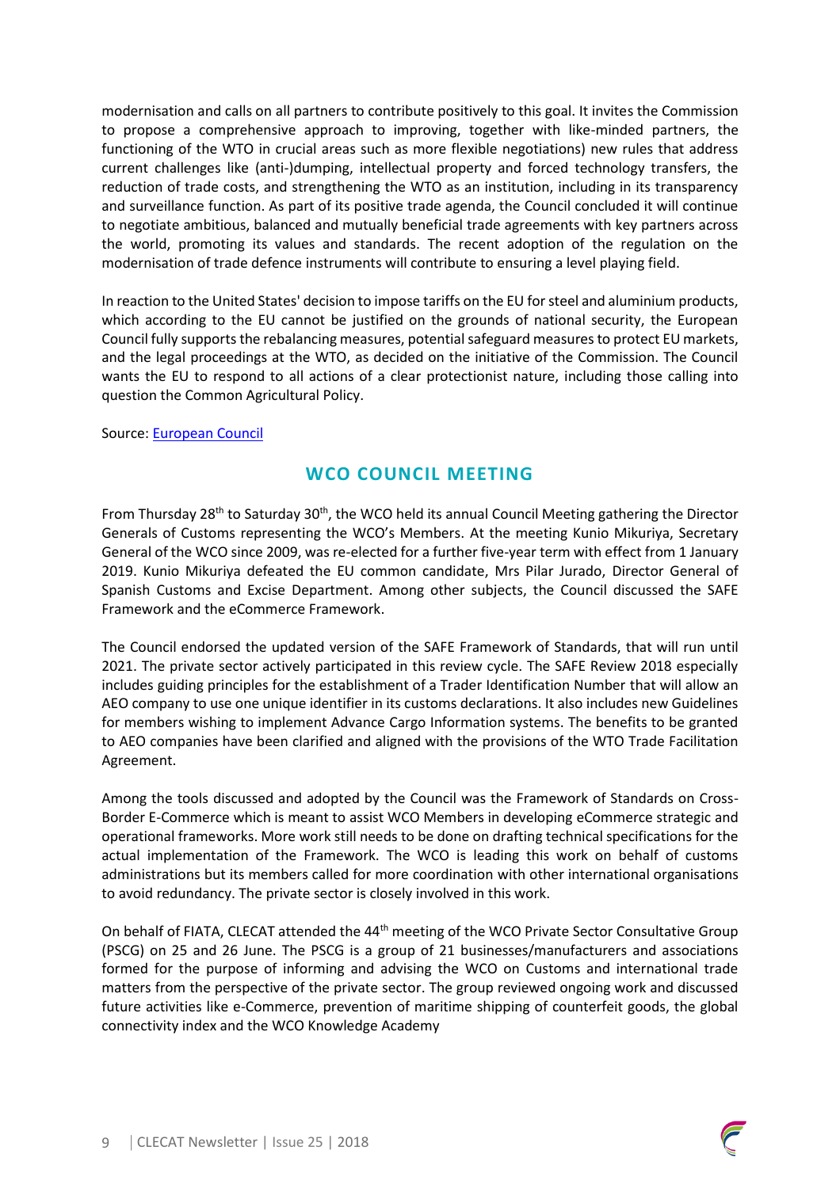modernisation and calls on all partners to contribute positively to this goal. It invites the Commission to propose a comprehensive approach to improving, together with like-minded partners, the functioning of the WTO in crucial areas such as more flexible negotiations) new rules that address current challenges like (anti-)dumping, intellectual property and forced technology transfers, the reduction of trade costs, and strengthening the WTO as an institution, including in its transparency and surveillance function. As part of its positive trade agenda, the Council concluded it will continue to negotiate ambitious, balanced and mutually beneficial trade agreements with key partners across the world, promoting its values and standards. The recent adoption of the regulation on the modernisation of trade defence instruments will contribute to ensuring a level playing field.

In reaction to the United States' decision to impose tariffs on the EU for steel and aluminium products, which according to the EU cannot be justified on the grounds of national security, the European Council fully supports the rebalancing measures, potential safeguard measures to protect EU markets, and the legal proceedings at the WTO, as decided on the initiative of the Commission. The Council wants the EU to respond to all actions of a clear protectionist nature, including those calling into question the Common Agricultural Policy.

#### Source: [European Council](http://www.consilium.europa.eu/en/press/press-releases/2018/06/29/20180628-euco-conclusions-final/)

#### **WCO COUNCIL MEETING**

From Thursday 28<sup>th</sup> to Saturday 30<sup>th</sup>, the WCO held its annual Council Meeting gathering the Director Generals of Customs representing the WCO's Members. At the meeting Kunio Mikuriya, Secretary General of the WCO since 2009, was re-elected for a further five-year term with effect from 1 January 2019. Kunio Mikuriya defeated the EU common candidate, Mrs Pilar Jurado, Director General of Spanish Customs and Excise Department. Among other subjects, the Council discussed the SAFE Framework and the eCommerce Framework.

The Council endorsed the updated version of the SAFE Framework of Standards, that will run until 2021. The private sector actively participated in this review cycle. The SAFE Review 2018 especially includes guiding principles for the establishment of a Trader Identification Number that will allow an AEO company to use one unique identifier in its customs declarations. It also includes new Guidelines for members wishing to implement Advance Cargo Information systems. The benefits to be granted to AEO companies have been clarified and aligned with the provisions of the WTO Trade Facilitation Agreement.

Among the tools discussed and adopted by the Council was the Framework of Standards on Cross-Border E-Commerce which is meant to assist WCO Members in developing eCommerce strategic and operational frameworks. More work still needs to be done on drafting technical specifications for the actual implementation of the Framework. The WCO is leading this work on behalf of customs administrations but its members called for more coordination with other international organisations to avoid redundancy. The private sector is closely involved in this work.

On behalf of FIATA, CLECAT attended the 44<sup>th</sup> meeting of the WCO Private Sector Consultative Group (PSCG) on 25 and 26 June. The PSCG is a group of 21 businesses/manufacturers and associations formed for the purpose of informing and advising the WCO on Customs and international trade matters from the perspective of the private sector. The group reviewed ongoing work and discussed future activities like e-Commerce, prevention of maritime shipping of counterfeit goods, the global connectivity index and the WCO Knowledge Academy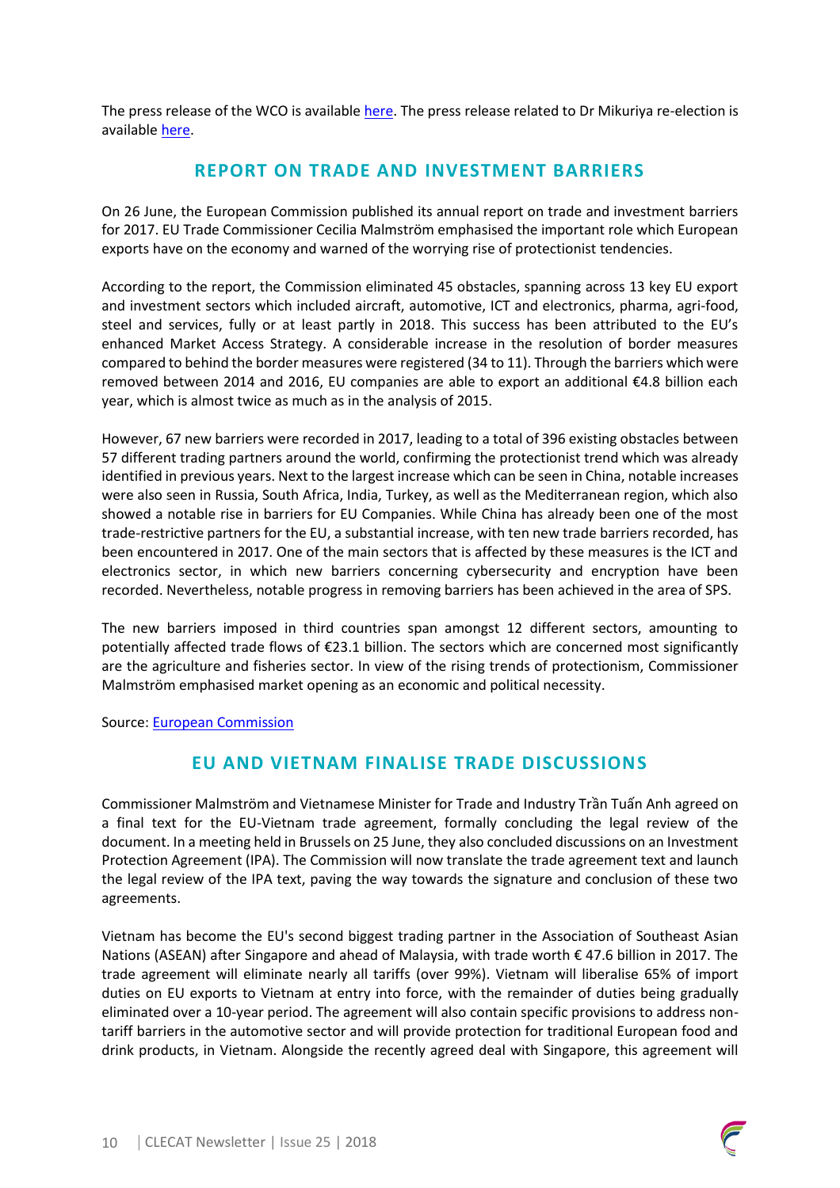The press release of the WCO is available [here.](http://www.wcoomd.org/en/media/newsroom/2018/june/outcomes-of-the-2018-council-session.aspx) The press release related to Dr Mikuriya re-election is available [here.](http://www.wcoomd.org/en/media/newsroom/2018/june/kunio-mikuriya-reelected-secretary-general-of-the-world-customs-organization.aspx)

#### **REPORT ON TRADE AND INVESTMENT BARRIERS**

On 26 June, the European Commission published its annual report on trade and investment barriers for 2017. EU Trade Commissioner Cecilia Malmström emphasised the important role which European exports have on the economy and warned of the worrying rise of protectionist tendencies.

According to the report, the Commission eliminated 45 obstacles, spanning across 13 key EU export and investment sectors which included aircraft, automotive, ICT and electronics, pharma, agri-food, steel and services, fully or at least partly in 2018. This success has been attributed to the EU's enhanced Market Access Strategy. A considerable increase in the resolution of border measures compared to behind the border measures were registered (34 to 11). Through the barriers which were removed between 2014 and 2016, EU companies are able to export an additional €4.8 billion each year, which is almost twice as much as in the analysis of 2015.

However, 67 new barriers were recorded in 2017, leading to a total of 396 existing obstacles between 57 different trading partners around the world, confirming the protectionist trend which was already identified in previous years. Next to the largest increase which can be seen in China, notable increases were also seen in Russia, South Africa, India, Turkey, as well as the Mediterranean region, which also showed a notable rise in barriers for EU Companies. While China has already been one of the most trade-restrictive partners for the EU, a substantial increase, with ten new trade barriers recorded, has been encountered in 2017. One of the main sectors that is affected by these measures is the ICT and electronics sector, in which new barriers concerning cybersecurity and encryption have been recorded. Nevertheless, notable progress in removing barriers has been achieved in the area of SPS.

The new barriers imposed in third countries span amongst 12 different sectors, amounting to potentially affected trade flows of €23.1 billion. The sectors which are concerned most significantly are the agriculture and fisheries sector. In view of the rising trends of protectionism, Commissioner Malmström emphasised market opening as an economic and political necessity.

Source: [European Commission](http://trade.ec.europa.eu/doclib/docs/2018/june/tradoc_156978.pdf)

#### **EU AND VIETNAM FINALISE TRADE DISCUSSIONS**

Commissioner Malmström and Vietnamese Minister for Trade and Industry Trần Tuấn Anh agreed on a final text for the EU-Vietnam trade agreement, formally concluding the legal review of the document. In a meeting held in Brussels on 25 June, they also concluded discussions on an Investment Protection Agreement (IPA). The Commission will now translate the trade agreement text and launch the legal review of the IPA text, paving the way towards the signature and conclusion of these two agreements.

Vietnam has become the EU's second biggest trading partner in the Association of Southeast Asian Nations (ASEAN) after Singapore and ahead of Malaysia, with trade worth € 47.6 billion in 2017. The trade agreement will eliminate nearly all tariffs (over 99%). Vietnam will liberalise 65% of import duties on EU exports to Vietnam at entry into force, with the remainder of duties being gradually eliminated over a 10-year period. The agreement will also contain specific provisions to address nontariff barriers in the automotive sector and will provide protection for traditional European food and drink products, in Vietnam. Alongside the recently agreed deal with Singapore, this agreement will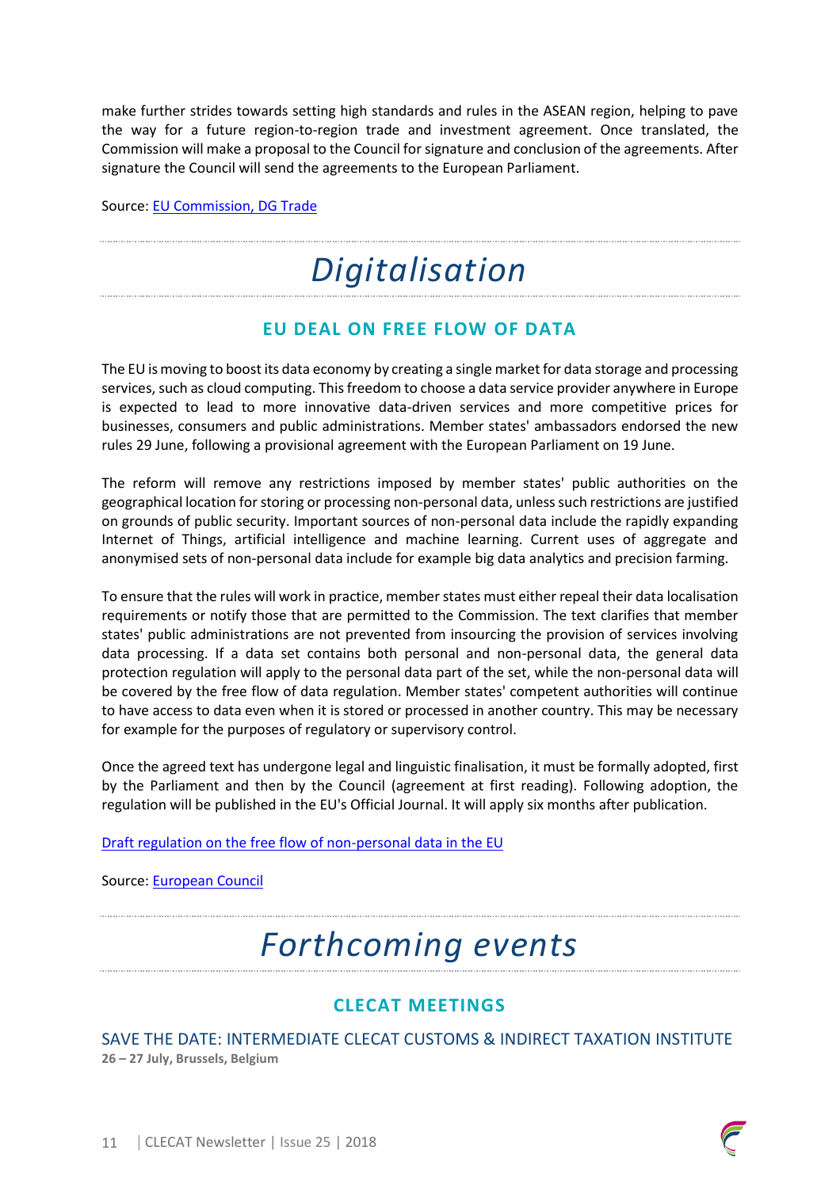make further strides towards setting high standards and rules in the ASEAN region, helping to pave the way for a future region-to-region trade and investment agreement. Once translated, the Commission will make a proposal to the Council for signature and conclusion of the agreements. After signature the Council will send the agreements to the European Parliament.

Source: [EU Commission, DG Trade](http://trade.ec.europa.eu/doclib/press/index.cfm?id=1875)

## *Digitalisation*

### **EU DEAL ON FREE FLOW OF DATA**

The EU is moving to boost its data economy by creating a single market for data storage and processing services, such as cloud computing. This freedom to choose a data service provider anywhere in Europe is expected to lead to more innovative data-driven services and more competitive prices for businesses, consumers and public administrations. Member states' ambassadors endorsed the new rules 29 June, following a provisional agreement with the European Parliament on 19 June.

The reform will remove any restrictions imposed by member states' public authorities on the geographical location for storing or processing non-personal data, unless such restrictions are justified on grounds of public security. Important sources of non-personal data include the rapidly expanding Internet of Things, artificial intelligence and machine learning. Current uses of aggregate and anonymised sets of non-personal data include for example big data analytics and precision farming.

To ensure that the rules will work in practice, member states must either repeal their data localisation requirements or notify those that are permitted to the Commission. The text clarifies that member states' public administrations are not prevented from insourcing the provision of services involving data processing. If a data set contains both personal and non-personal data, the general data protection regulation will apply to the personal data part of the set, while the non-personal data will be covered by the free flow of data regulation. Member states' competent authorities will continue to have access to data even when it is stored or processed in another country. This may be necessary for example for the purposes of regulatory or supervisory control.

Once the agreed text has undergone legal and linguistic finalisation, it must be formally adopted, first by the Parliament and then by the Council (agreement at first reading). Following adoption, the regulation will be published in the EU's Official Journal. It will apply six months after publication.

[Draft regulation on the free flow of non-personal data in the EU](http://www.consilium.europa.eu/media/36035/st10323-en18.pdf)

Source: [European Council](http://www.consilium.europa.eu/en/press/press-releases/2018/06/29/eu-to-ban-data-localisation-restrictions-as-ambassadors-approve-deal-on-free-flow-of-data/)

## *Forthcoming events*

### **CLECAT MEETINGS**

SAVE THE DATE: INTERMEDIATE CLECAT CUSTOMS & INDIRECT TAXATION INSTITUTE **26 – 27 July, Brussels, Belgium**